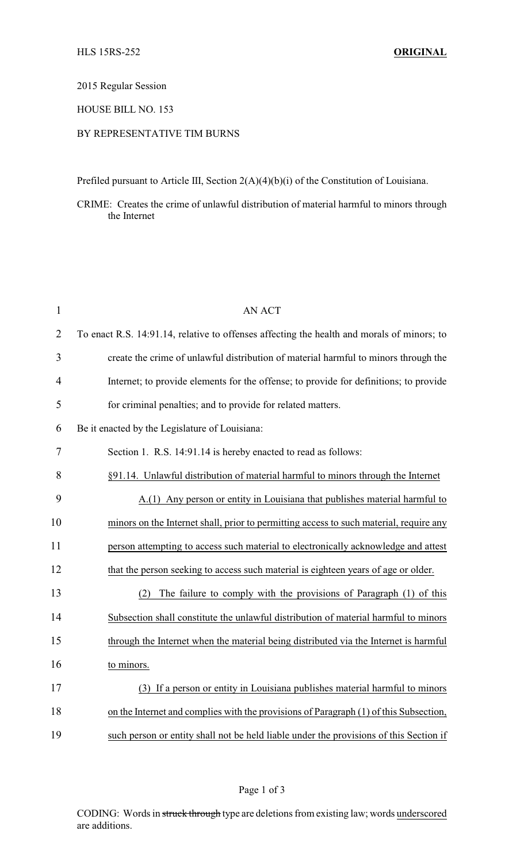## 2015 Regular Session

## HOUSE BILL NO. 153

## BY REPRESENTATIVE TIM BURNS

Prefiled pursuant to Article III, Section 2(A)(4)(b)(i) of the Constitution of Louisiana.

CRIME: Creates the crime of unlawful distribution of material harmful to minors through the Internet

| $\mathbf{1}$   | <b>AN ACT</b>                                                                              |
|----------------|--------------------------------------------------------------------------------------------|
| $\overline{2}$ | To enact R.S. 14:91.14, relative to offenses affecting the health and morals of minors; to |
| 3              | create the crime of unlawful distribution of material harmful to minors through the        |
| $\overline{4}$ | Internet; to provide elements for the offense; to provide for definitions; to provide      |
| 5              | for criminal penalties; and to provide for related matters.                                |
| 6              | Be it enacted by the Legislature of Louisiana:                                             |
| 7              | Section 1. R.S. 14:91.14 is hereby enacted to read as follows:                             |
| 8              | §91.14. Unlawful distribution of material harmful to minors through the Internet           |
| 9              | A.(1) Any person or entity in Louisiana that publishes material harmful to                 |
| 10             | minors on the Internet shall, prior to permitting access to such material, require any     |
| 11             | person attempting to access such material to electronically acknowledge and attest         |
| 12             | that the person seeking to access such material is eighteen years of age or older.         |
| 13             | The failure to comply with the provisions of Paragraph (1) of this<br>(2)                  |
| 14             | Subsection shall constitute the unlawful distribution of material harmful to minors        |
| 15             | through the Internet when the material being distributed via the Internet is harmful       |
| 16             | to minors.                                                                                 |
| 17             | (3) If a person or entity in Louisiana publishes material harmful to minors                |
| 18             | on the Internet and complies with the provisions of Paragraph (1) of this Subsection,      |
| 19             | such person or entity shall not be held liable under the provisions of this Section if     |

CODING: Words in struck through type are deletions from existing law; words underscored are additions.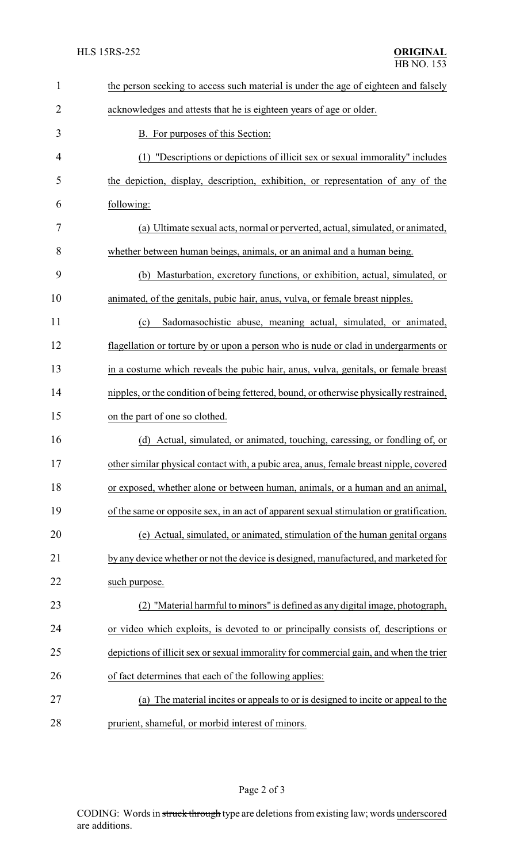| 1              | the person seeking to access such material is under the age of eighteen and falsely     |  |
|----------------|-----------------------------------------------------------------------------------------|--|
| $\overline{2}$ | acknowledges and attests that he is eighteen years of age or older.                     |  |
| 3              | <b>B.</b> For purposes of this Section:                                                 |  |
| 4              | (1) "Descriptions or depictions of illicit sex or sexual immorality" includes           |  |
| 5              | the depiction, display, description, exhibition, or representation of any of the        |  |
| 6              | following:                                                                              |  |
| 7              | (a) Ultimate sexual acts, normal or perverted, actual, simulated, or animated,          |  |
| 8              | whether between human beings, animals, or an animal and a human being.                  |  |
| 9              | (b) Masturbation, excretory functions, or exhibition, actual, simulated, or             |  |
| 10             | animated, of the genitals, pubic hair, anus, vulva, or female breast nipples.           |  |
| 11             | Sadomasochistic abuse, meaning actual, simulated, or animated,<br>(c)                   |  |
| 12             | flagellation or torture by or upon a person who is nude or clad in undergarments or     |  |
| 13             | in a costume which reveals the pubic hair, anus, vulva, genitals, or female breast      |  |
| 14             | nipples, or the condition of being fettered, bound, or otherwise physically restrained, |  |
| 15             | on the part of one so clothed.                                                          |  |
| 16             | (d) Actual, simulated, or animated, touching, caressing, or fondling of, or             |  |
| 17             | other similar physical contact with, a pubic area, anus, female breast nipple, covered  |  |
| 18             | or exposed, whether alone or between human, animals, or a human and an animal,          |  |
| 19             | of the same or opposite sex, in an act of apparent sexual stimulation or gratification. |  |
| 20             | (e) Actual, simulated, or animated, stimulation of the human genital organs             |  |
| 21             | by any device whether or not the device is designed, manufactured, and marketed for     |  |
| 22             | such purpose.                                                                           |  |
| 23             | (2) "Material harmful to minors" is defined as any digital image, photograph,           |  |
| 24             | or video which exploits, is devoted to or principally consists of, descriptions or      |  |
| 25             | depictions of illicit sex or sexual immorality for commercial gain, and when the trier  |  |
| 26             | of fact determines that each of the following applies:                                  |  |
| 27             | The material incites or appeals to or is designed to incite or appeal to the<br>(a)     |  |
| 28             | prurient, shameful, or morbid interest of minors.                                       |  |